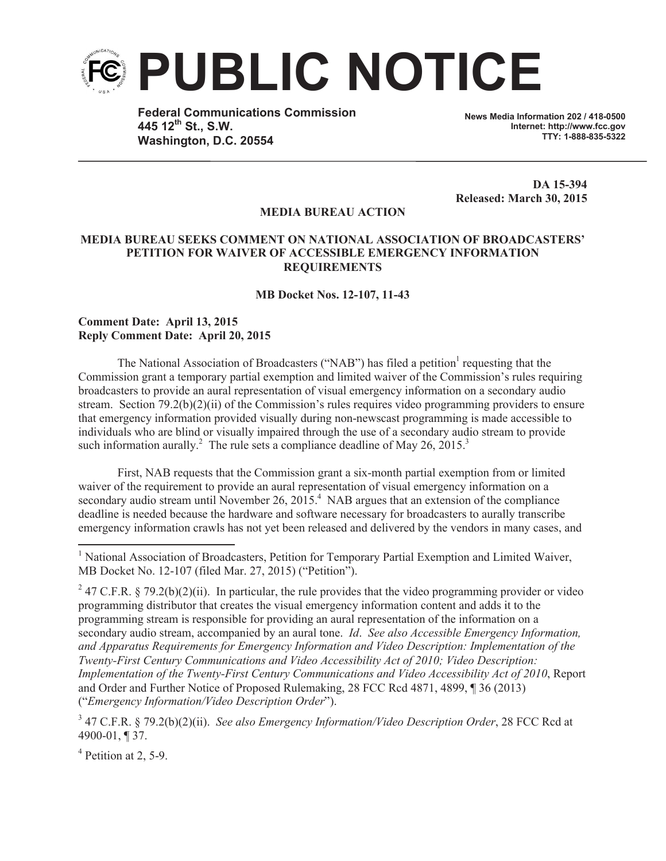

**Federal Communications Commission 445 12th St., S.W. Washington, D.C. 20554**

**News Media Information 202 / 418-0500 Internet: http://www.fcc.gov TTY: 1-888-835-5322**

**DA 15-394 Released: March 30, 2015**

## **MEDIA BUREAU ACTION**

## **MEDIA BUREAU SEEKS COMMENT ON NATIONAL ASSOCIATION OF BROADCASTERS' PETITION FOR WAIVER OF ACCESSIBLE EMERGENCY INFORMATION REQUIREMENTS**

**MB Docket Nos. 12-107, 11-43**

## **Comment Date: April 13, 2015 Reply Comment Date: April 20, 2015**

The National Association of Broadcasters ("NAB") has filed a petition<sup>1</sup> requesting that the Commission grant a temporary partial exemption and limited waiver of the Commission's rules requiring broadcasters to provide an aural representation of visual emergency information on a secondary audio stream. Section 79.2(b)(2)(ii) of the Commission's rules requires video programming providers to ensure that emergency information provided visually during non-newscast programming is made accessible to individuals who are blind or visually impaired through the use of a secondary audio stream to provide such information aurally.<sup>2</sup> The rule sets a compliance deadline of May 26, 2015.<sup>3</sup>

First, NAB requests that the Commission grant a six-month partial exemption from or limited waiver of the requirement to provide an aural representation of visual emergency information on a secondary audio stream until November 26,  $2015<sup>4</sup>$  NAB argues that an extension of the compliance deadline is needed because the hardware and software necessary for broadcasters to aurally transcribe emergency information crawls has not yet been released and delivered by the vendors in many cases, and

<sup>4</sup> Petition at 2, 5-9.

<sup>&</sup>lt;sup>1</sup> National Association of Broadcasters, Petition for Temporary Partial Exemption and Limited Waiver, MB Docket No. 12-107 (filed Mar. 27, 2015) ("Petition").

<sup>&</sup>lt;sup>2</sup> 47 C.F.R. § 79.2(b)(2)(ii). In particular, the rule provides that the video programming provider or video programming distributor that creates the visual emergency information content and adds it to the programming stream is responsible for providing an aural representation of the information on a secondary audio stream, accompanied by an aural tone. *Id*. *See also Accessible Emergency Information, and Apparatus Requirements for Emergency Information and Video Description: Implementation of the Twenty-First Century Communications and Video Accessibility Act of 2010; Video Description: Implementation of the Twenty-First Century Communications and Video Accessibility Act of 2010*, Report and Order and Further Notice of Proposed Rulemaking, 28 FCC Rcd 4871, 4899, ¶ 36 (2013) ("*Emergency Information/Video Description Order*").

<sup>3</sup> 47 C.F.R. § 79.2(b)(2)(ii). *See also Emergency Information/Video Description Order*, 28 FCC Rcd at 4900-01, ¶ 37.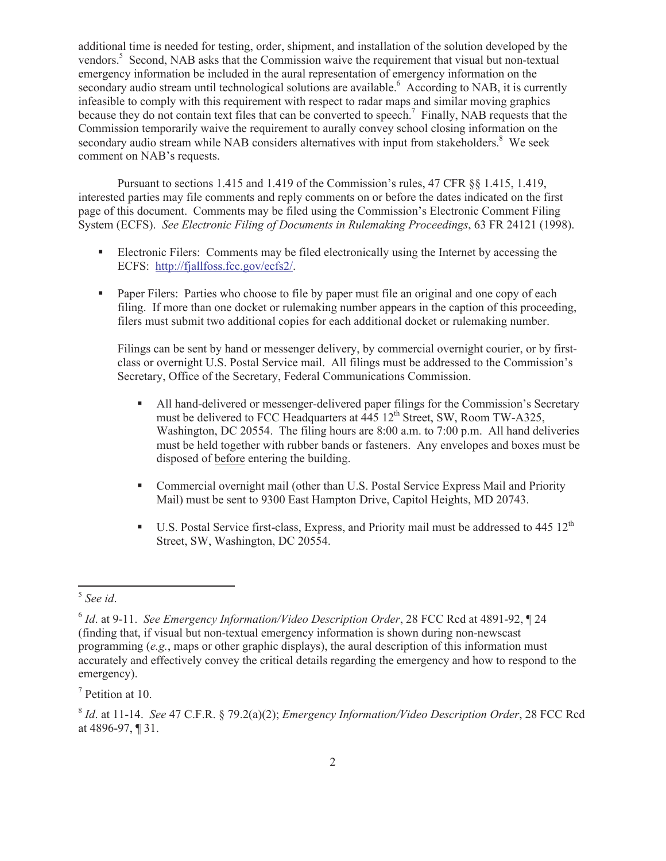additional time is needed for testing, order, shipment, and installation of the solution developed by the vendors.<sup>5</sup> Second, NAB asks that the Commission waive the requirement that visual but non-textual emergency information be included in the aural representation of emergency information on the secondary audio stream until technological solutions are available.<sup>6</sup> According to NAB, it is currently infeasible to comply with this requirement with respect to radar maps and similar moving graphics because they do not contain text files that can be converted to speech.<sup>7</sup> Finally, NAB requests that the Commission temporarily waive the requirement to aurally convey school closing information on the secondary audio stream while NAB considers alternatives with input from stakeholders.<sup>8</sup> We seek comment on NAB's requests.

Pursuant to sections 1.415 and 1.419 of the Commission's rules, 47 CFR §§ 1.415, 1.419, interested parties may file comments and reply comments on or before the dates indicated on the first page of this document. Comments may be filed using the Commission's Electronic Comment Filing System (ECFS). *See Electronic Filing of Documents in Rulemaking Proceedings*, 63 FR 24121 (1998).

- Electronic Filers: Comments may be filed electronically using the Internet by accessing the ECFS: http://fjallfoss.fcc.gov/ecfs2/.
- Paper Filers: Parties who choose to file by paper must file an original and one copy of each filing. If more than one docket or rulemaking number appears in the caption of this proceeding, filers must submit two additional copies for each additional docket or rulemaking number.

Filings can be sent by hand or messenger delivery, by commercial overnight courier, or by firstclass or overnight U.S. Postal Service mail. All filings must be addressed to the Commission's Secretary, Office of the Secretary, Federal Communications Commission.

- All hand-delivered or messenger-delivered paper filings for the Commission's Secretary must be delivered to FCC Headquarters at  $445 \, 12^{th}$  Street, SW, Room TW-A325, Washington, DC 20554. The filing hours are 8:00 a.m. to 7:00 p.m. All hand deliveries must be held together with rubber bands or fasteners. Any envelopes and boxes must be disposed of before entering the building.
- Commercial overnight mail (other than U.S. Postal Service Express Mail and Priority Mail) must be sent to 9300 East Hampton Drive, Capitol Heights, MD 20743.
- **•** U.S. Postal Service first-class, Express, and Priority mail must be addressed to  $445 \times 12^{th}$ Street, SW, Washington, DC 20554.

<sup>5</sup> *See id*.

<sup>6</sup> *Id*. at 9-11. *See Emergency Information/Video Description Order*, 28 FCC Rcd at 4891-92, ¶ 24 (finding that, if visual but non-textual emergency information is shown during non-newscast programming (*e.g.*, maps or other graphic displays), the aural description of this information must accurately and effectively convey the critical details regarding the emergency and how to respond to the emergency).

<sup>7</sup> Petition at 10.

<sup>8</sup> *Id*. at 11-14. *See* 47 C.F.R. § 79.2(a)(2); *Emergency Information/Video Description Order*, 28 FCC Rcd at 4896-97, ¶ 31.